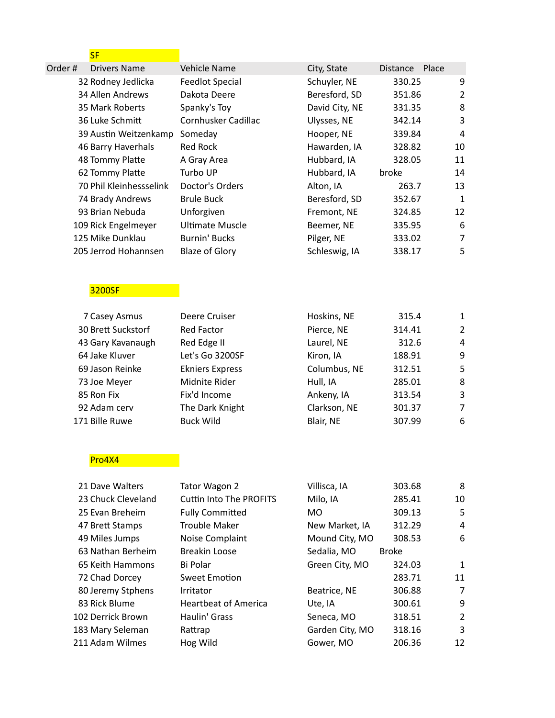## <mark>SF</mark> (1999) (1999) (1999)

| Order# | Drivers Name            | <b>Vehicle Name</b>    | City, State    | Place<br><b>Distance</b> |              |
|--------|-------------------------|------------------------|----------------|--------------------------|--------------|
|        | 32 Rodney Jedlicka      | <b>Feedlot Special</b> | Schuyler, NE   | 330.25                   | 9            |
|        | 34 Allen Andrews        | Dakota Deere           | Beresford, SD  | 351.86                   | 2            |
|        | 35 Mark Roberts         | Spanky's Toy           | David City, NE | 331.35                   | 8            |
|        | 36 Luke Schmitt         | Cornhusker Cadillac    | Ulysses, NE    | 342.14                   | 3            |
|        | 39 Austin Weitzenkamp   | Someday                | Hooper, NE     | 339.84                   | 4            |
|        | 46 Barry Haverhals      | Red Rock               | Hawarden, IA   | 328.82                   | 10           |
|        | 48 Tommy Platte         | A Gray Area            | Hubbard, IA    | 328.05                   | 11           |
|        | 62 Tommy Platte         | Turbo UP               | Hubbard, IA    | broke                    | 14           |
|        | 70 Phil Kleinhessselink | Doctor's Orders        | Alton, IA      | 263.7                    | 13           |
|        | 74 Brady Andrews        | <b>Brule Buck</b>      | Beresford, SD  | 352.67                   | $\mathbf{1}$ |
|        | 93 Brian Nebuda         | Unforgiven             | Fremont, NE    | 324.85                   | 12           |
|        | 109 Rick Engelmeyer     | Ultimate Muscle        | Beemer, NE     | 335.95                   | 6            |
|        | 125 Mike Dunklau        | Burnin' Bucks          | Pilger, NE     | 333.02                   | 7            |
|        | 205 Jerrod Hohannsen    | <b>Blaze of Glory</b>  | Schleswig, IA  | 338.17                   | 5            |
|        |                         |                        |                |                          |              |

# 3200SF

| 7 Casey Asmus      | Deere Cruiser          | Hoskins, NE  | 315.4  | 1              |
|--------------------|------------------------|--------------|--------|----------------|
| 30 Brett Suckstorf | Red Factor             | Pierce, NE   | 314.41 | $\overline{2}$ |
| 43 Gary Kavanaugh  | Red Edge II            | Laurel, NE   | 312.6  | 4              |
| 64 Jake Kluver     | Let's Go 3200SF        | Kiron, IA    | 188.91 | 9              |
| 69 Jason Reinke    | <b>Ekniers Express</b> | Columbus, NE | 312.51 | -5             |
| 73 Joe Meyer       | Midnite Rider          | Hull, IA     | 285.01 | -8             |
| 85 Ron Fix         | Fix'd Income           | Ankeny, IA   | 313.54 | 3              |
| 92 Adam cerv       | The Dark Knight        | Clarkson, NE | 301.37 | 7              |
| 171 Bille Ruwe     | <b>Buck Wild</b>       | Blair, NE    | 307.99 | 6              |
|                    |                        |              |        |                |

## Pro4X4 **Pro**4X4

| 21 Dave Walters    | Tator Wagon 2                  | Villisca, IA    | 303.68       | 8              |
|--------------------|--------------------------------|-----------------|--------------|----------------|
| 23 Chuck Cleveland | <b>Cuttin Into The PROFITS</b> | Milo, IA        | 285.41       | 10             |
| 25 Evan Breheim    | <b>Fully Committed</b>         | MO.             | 309.13       | 5              |
| 47 Brett Stamps    | <b>Trouble Maker</b>           | New Market, IA  | 312.29       | 4              |
| 49 Miles Jumps     | Noise Complaint                | Mound City, MO  | 308.53       | 6              |
| 63 Nathan Berheim  | <b>Breakin Loose</b>           | Sedalia, MO     | <b>Broke</b> |                |
| 65 Keith Hammons   | Bi Polar                       | Green City, MO  | 324.03       | 1              |
| 72 Chad Dorcey     | Sweet Emotion                  |                 | 283.71       | 11             |
| 80 Jeremy Stphens  | <b>Irritator</b>               | Beatrice, NE    | 306.88       | 7              |
| 83 Rick Blume      | <b>Heartbeat of America</b>    | Ute, IA         | 300.61       | 9              |
| 102 Derrick Brown  | Haulin' Grass                  | Seneca, MO      | 318.51       | $\overline{2}$ |
| 183 Mary Seleman   | Rattrap                        | Garden City, MO | 318.16       | 3              |
| 211 Adam Wilmes    | Hog Wild                       | Gower, MO       | 206.36       | 12             |